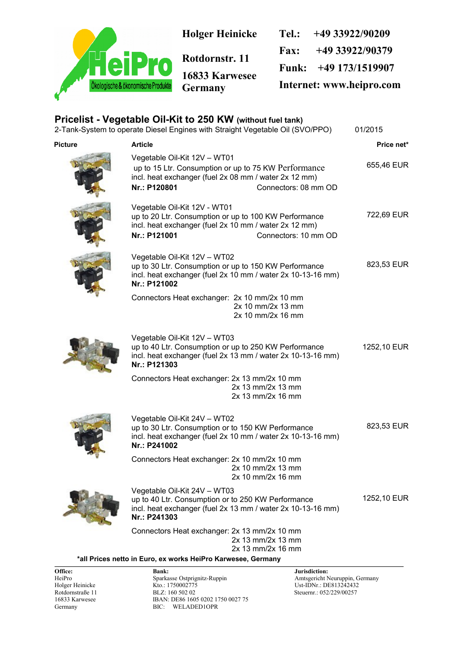

|         | Pricelist - Vegetable Oil-Kit to 250 KW (without fuel tank)                                           | 2-Tank-System to operate Diesel Engines with Straight Vegetable Oil (SVO/PPO)                                        | 01/2015     |
|---------|-------------------------------------------------------------------------------------------------------|----------------------------------------------------------------------------------------------------------------------|-------------|
| Picture | <b>Article</b>                                                                                        |                                                                                                                      | Price net*  |
|         | Vegetable Oil-Kit 12V - WT01<br>incl. heat exchanger (fuel 2x 08 mm / water 2x 12 mm)<br>Nr.: P120801 | up to 15 Ltr. Consumption or up to 75 KW Performance<br>Connectors: 08 mm OD                                         | 655,46 EUR  |
|         | Vegetable Oil-Kit 12V - WT01<br>incl. heat exchanger (fuel 2x 10 mm / water 2x 12 mm)<br>Nr.: P121001 | up to 20 Ltr. Consumption or up to 100 KW Performance<br>Connectors: 10 mm OD                                        | 722,69 EUR  |
|         | Vegetable Oil-Kit 12V - WT02<br>Nr.: P121002                                                          | up to 30 Ltr. Consumption or up to 150 KW Performance<br>incl. heat exchanger (fuel 2x 10 mm / water 2x 10-13-16 mm) | 823,53 EUR  |
|         | Connectors Heat exchanger: 2x 10 mm/2x 10 mm                                                          | 2x 10 mm/2x 13 mm<br>2x 10 mm/2x 16 mm                                                                               |             |
|         | Vegetable Oil-Kit 12V - WT03<br>Nr.: P121303                                                          | up to 40 Ltr. Consumption or up to 250 KW Performance<br>incl. heat exchanger (fuel 2x 13 mm / water 2x 10-13-16 mm) | 1252,10 EUR |
|         | Connectors Heat exchanger: 2x 13 mm/2x 10 mm                                                          | 2x 13 mm/2x 13 mm<br>2x 13 mm/2x 16 mm                                                                               |             |
|         | Vegetable Oil-Kit 24V - WT02<br>up to 30 Ltr. Consumption or to 150 KW Performance<br>Nr.: P241002    | incl. heat exchanger (fuel 2x 10 mm / water 2x 10-13-16 mm)                                                          | 823,53 EUR  |
|         | Connectors Heat exchanger: 2x 10 mm/2x 10 mm                                                          | 2x 10 mm/2x 13 mm<br>2x 10 mm/2x 16 mm                                                                               |             |
|         | Vegetable Oil-Kit 24V - WT03<br>up to 40 Ltr. Consumption or to 250 KW Performance<br>Nr.: P241303    | incl. heat exchanger (fuel 2x 13 mm / water 2x 10-13-16 mm)                                                          | 1252,10 EUR |
|         | Connectors Heat exchanger: 2x 13 mm/2x 10 mm                                                          | 2x 13 mm/2x 13 mm<br>2x 13 mm/2x 16 mm                                                                               |             |

**\*all Prices netto in Euro, ex works HeiPro Karwesee, Germany**

**Office: Bank: Bank: Jurisdiction: Bank: Jurisdiction: Property in the Sparkasse Ostprignitz-Ruppin Amtsgericht N** HeiPro Sparkasse Ostprignitz-Ruppin Amtsgericht Neuruppin, Germany<br>Holger Heinicke Kto.: 1750002775 Ust-IDNr.: DE813242432 Holger Heinicke Kto.: 1750002775 Ust-IDNr.: DE813242432 Rotdornstraße 11 BLZ: 160 502 02<br>16833 Karwesee BAN: DE86 1605 0202 1750 0027 75 IBAN: DE86 1605 0202 1750 0027 75 Germany BIC: WELADED1OPR